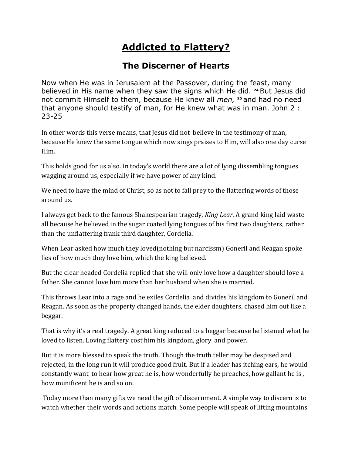## **Addicted to Flattery?**

## **The Discerner of Hearts**

Now when He was in Jerusalem at the Passover, during the feast, many believed in His name when they saw the signs which He did. **<sup>24</sup>** But Jesus did not commit Himself to them, because He knew all *men,* **<sup>25</sup>** and had no need that anyone should testify of man, for He knew what was in man. John 2 : 23-25

In other words this verse means, that Jesus did not believe in the testimony of man, because He knew the same tongue which now sings praises to Him, will also one day curse Him.

This holds good for us also. In today's world there are a lot of lying dissembling tongues wagging around us, especially if we have power of any kind.

We need to have the mind of Christ, so as not to fall prey to the flattering words of those around us.

I always get back to the famous Shakespearian tragedy, *King Lear.* A grand king laid waste all because he believed in the sugar coated lying tongues of his first two daughters, rather than the unflattering frank third daughter, Cordelia.

When Lear asked how much they loved(nothing but narcissm) Goneril and Reagan spoke lies of how much they love him, which the king believed.

But the clear headed Cordelia replied that she will only love how a daughter should love a father. She cannot love him more than her husband when she is married.

This throws Lear into a rage and he exiles Cordelia and divides his kingdom to Goneril and Reagan. As soon as the property changed hands, the elder daughters, chased him out like a beggar.

That is why it's a real tragedy. A great king reduced to a beggar because he listened what he loved to listen. Loving flattery cost him his kingdom, glory and power.

But it is more blessed to speak the truth. Though the truth teller may be despised and rejected, in the long run it will produce good fruit. But if a leader has itching ears, he would constantly want to hear how great he is, how wonderfully he preaches, how gallant he is , how munificent he is and so on.

Today more than many gifts we need the gift of discernment. A simple way to discern is to watch whether their words and actions match. Some people will speak of lifting mountains